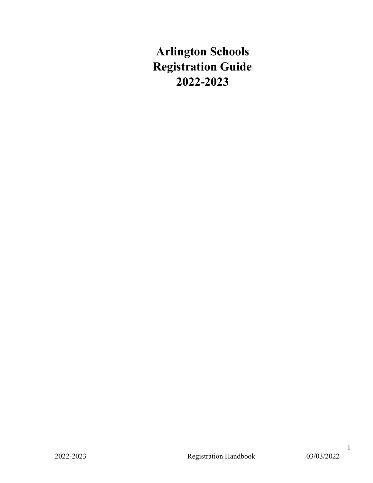# **Arlington Schools Registration Guide 2022-2023**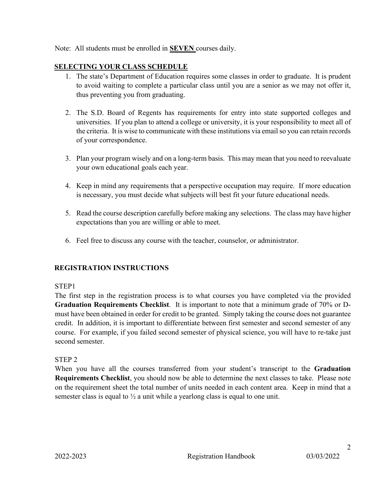Note: All students must be enrolled in **SEVEN** courses daily.

## **SELECTING YOUR CLASS SCHEDULE**

- 1. The state's Department of Education requires some classes in order to graduate. It is prudent to avoid waiting to complete a particular class until you are a senior as we may not offer it, thus preventing you from graduating.
- 2. The S.D. Board of Regents has requirements for entry into state supported colleges and universities. If you plan to attend a college or university, it is your responsibility to meet all of the criteria. It is wise to communicate with these institutions via email so you can retain records of your correspondence.
- 3. Plan your program wisely and on a long-term basis. This may mean that you need to reevaluate your own educational goals each year.
- 4. Keep in mind any requirements that a perspective occupation may require. If more education is necessary, you must decide what subjects will best fit your future educational needs.
- 5. Read the course description carefully before making any selections. The class may have higher expectations than you are willing or able to meet.
- 6. Feel free to discuss any course with the teacher, counselor, or administrator.

## **REGISTRATION INSTRUCTIONS**

## STEP1

The first step in the registration process is to what courses you have completed via the provided **Graduation Requirements Checklist**. It is important to note that a minimum grade of 70% or Dmust have been obtained in order for credit to be granted. Simply taking the course does not guarantee credit. In addition, it is important to differentiate between first semester and second semester of any course. For example, if you failed second semester of physical science, you will have to re-take just second semester.

## STEP 2

When you have all the courses transferred from your student's transcript to the **Graduation Requirements Checklist**, you should now be able to determine the next classes to take. Please note on the requirement sheet the total number of units needed in each content area. Keep in mind that a semester class is equal to  $\frac{1}{2}$  a unit while a yearlong class is equal to one unit.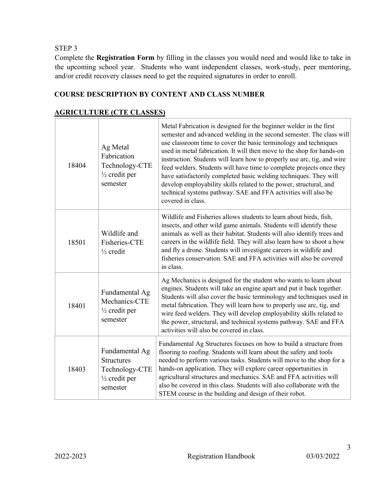STEP 3

Complete the **Registration Form** by filling in the classes you would need and would like to take in the upcoming school year. Students who want independent classes, work-study, peer mentoring, and/or credit recovery classes need to get the required signatures in order to enroll.

## **COURSE DESCRIPTION BY CONTENT AND CLASS NUMBER**

## **AGRICULTURE (CTE CLASSES)**

| 18404 | Ag Metal<br>Fabrication<br>Technology-CTE<br>$\frac{1}{2}$ credit per<br>semester             | Metal Fabrication is designed for the beginner welder in the first<br>semester and advanced welding in the second semester. The class will<br>use classroom time to cover the basic terminology and techniques<br>used in metal fabrication. It will then move to the shop for hands-on<br>instruction. Students will learn how to properly use arc, tig, and wire<br>feed welders. Students will have time to complete projects once they<br>have satisfactorily completed basic welding techniques. They will<br>develop employability skills related to the power, structural, and<br>technical systems pathway. SAE and FFA activities will also be<br>covered in class. |
|-------|-----------------------------------------------------------------------------------------------|------------------------------------------------------------------------------------------------------------------------------------------------------------------------------------------------------------------------------------------------------------------------------------------------------------------------------------------------------------------------------------------------------------------------------------------------------------------------------------------------------------------------------------------------------------------------------------------------------------------------------------------------------------------------------|
| 18501 | Wildlife and<br>Fisheries-CTE<br>$\frac{1}{2}$ credit                                         | Wildlife and Fisheries allows students to learn about birds, fish,<br>insects, and other wild game animals. Students will identify these<br>animals as well as their habitat. Students will also identify trees and<br>careers in the wildlife field. They will also learn how to shoot a bow<br>and fly a drone. Students will investigate careers in wildlife and<br>fisheries conservation. SAE and FFA activities will also be covered<br>in class.                                                                                                                                                                                                                      |
| 18401 | Fundamental Ag<br>Mechanics-CTE<br>$\frac{1}{2}$ credit per<br>semester                       | Ag Mechanics is designed for the student who wants to learn about<br>engines. Students will take an engine apart and put it back together.<br>Students will also cover the basic terminology and techniques used in<br>metal fabrication. They will learn how to properly use arc, tig, and<br>wire feed welders. They will develop employability skills related to<br>the power, structural, and technical systems pathway. SAE and FFA<br>activities will also be covered in class.                                                                                                                                                                                        |
| 18403 | Fundamental Ag<br><b>Structures</b><br>Technology-CTE<br>$\frac{1}{2}$ credit per<br>semester | Fundamental Ag Structures focuses on how to build a structure from<br>flooring to roofing. Students will learn about the safety and tools<br>needed to perform various tasks. Students will move to the shop for a<br>hands-on application. They will explore career opportunities in<br>agricultural structures and mechanics. SAE and FFA activities will<br>also be covered in this class. Students will also collaborate with the<br>STEM course in the building and design of their robot.                                                                                                                                                                              |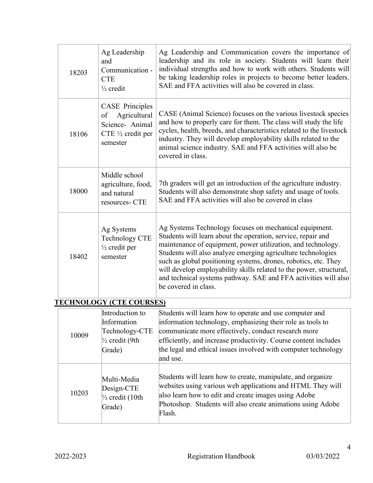| 18203 | Ag Leadership<br>and<br>Communication -<br><b>CTE</b><br>$\frac{1}{2}$ credit                               | Ag Leadership and Communication covers the importance of<br>leadership and its role in society. Students will learn their<br>individual strengths and how to work with others. Students will<br>be taking leadership roles in projects to become better leaders.<br>SAE and FFA activities will also be covered in class.                                                                                                                                                                   |
|-------|-------------------------------------------------------------------------------------------------------------|---------------------------------------------------------------------------------------------------------------------------------------------------------------------------------------------------------------------------------------------------------------------------------------------------------------------------------------------------------------------------------------------------------------------------------------------------------------------------------------------|
| 18106 | <b>CASE</b> Principles<br>Agricultural<br>of<br>Science- Animal<br>CTE $\frac{1}{2}$ credit per<br>semester | CASE (Animal Science) focuses on the various livestock species<br>and how to properly care for them. The class will study the life<br>cycles, health, breeds, and characteristics related to the livestock<br>industry. They will develop employability skills related to the<br>animal science industry. SAE and FFA activities will also be<br>covered in class.                                                                                                                          |
| 18000 | Middle school<br>agriculture, food,<br>and natural<br>resources- CTE                                        | 7th graders will get an introduction of the agriculture industry.<br>Students will also demonstrate shop safety and usage of tools.<br>SAE and FFA activities will also be covered in class                                                                                                                                                                                                                                                                                                 |
| 18402 | Ag Systems<br>Technology CTE<br>$\frac{1}{2}$ credit per<br>semester                                        | Ag Systems Technology focuses on mechanical equipment.<br>Students will learn about the operation, service, repair and<br>maintenance of equipment, power utilization, and technology.<br>Students will also analyze emerging agriculture technologies<br>such as global positioning systems, drones, robotics, etc. They<br>will develop employability skills related to the power, structural,<br>and technical systems pathway. SAE and FFA activities will also<br>be covered in class. |
|       | <b>TECHNOLOGY (CTE COURSES)</b>                                                                             |                                                                                                                                                                                                                                                                                                                                                                                                                                                                                             |
| 10009 | Introduction to<br>Information<br>Technology-CTE<br>$\frac{1}{2}$ credit (9th<br>Grade)                     | Students will learn how to operate and use computer and<br>information technology, emphasizing their role as tools to<br>communicate more effectively, conduct research more<br>efficiently, and increase productivity. Course content includes<br>the legal and ethical issues involved with computer technology<br>and use.                                                                                                                                                               |
| 10203 | Multi-Media<br>Design-CTE<br>$\frac{1}{2}$ credit (10th<br>Grade)                                           | Students will learn how to create, manipulate, and organize<br>websites using various web applications and HTML They will<br>also learn how to edit and create images using Adobe<br>Photoshop. Students will also create animations using Adobe<br>Flash.                                                                                                                                                                                                                                  |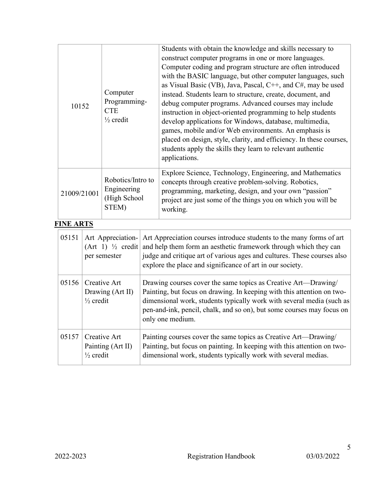| 10152       | Computer<br>Programming-<br><b>CTE</b><br>$\frac{1}{2}$ credit | Students with obtain the knowledge and skills necessary to<br>construct computer programs in one or more languages.<br>Computer coding and program structure are often introduced<br>with the BASIC language, but other computer languages, such<br>as Visual Basic (VB), Java, Pascal, C++, and C#, may be used<br>instead. Students learn to structure, create, document, and<br>debug computer programs. Advanced courses may include<br>instruction in object-oriented programming to help students<br>develop applications for Windows, database, multimedia,<br>games, mobile and/or Web environments. An emphasis is<br>placed on design, style, clarity, and efficiency. In these courses,<br>students apply the skills they learn to relevant authentic<br>applications. |
|-------------|----------------------------------------------------------------|-----------------------------------------------------------------------------------------------------------------------------------------------------------------------------------------------------------------------------------------------------------------------------------------------------------------------------------------------------------------------------------------------------------------------------------------------------------------------------------------------------------------------------------------------------------------------------------------------------------------------------------------------------------------------------------------------------------------------------------------------------------------------------------|
| 21009/21001 | Robotics/Intro to<br>Engineering<br>(High School<br>STEM)      | Explore Science, Technology, Engineering, and Mathematics<br>concepts through creative problem-solving. Robotics,<br>programming, marketing, design, and your own "passion"<br>project are just some of the things you on which you will be<br>working.                                                                                                                                                                                                                                                                                                                                                                                                                                                                                                                           |

## **FINE ARTS**

| 05151 | Art Appreciation-<br>$(Art 1)$ <sup>1</sup> / <sub>2</sub> credit<br>per semester | Art Appreciation courses introduce students to the many forms of art<br>and help them form an aesthetic framework through which they can<br>judge and critique art of various ages and cultures. These courses also<br>explore the place and significance of art in our society.                               |
|-------|-----------------------------------------------------------------------------------|----------------------------------------------------------------------------------------------------------------------------------------------------------------------------------------------------------------------------------------------------------------------------------------------------------------|
| 05156 | Creative Art<br>Drawing (Art II)<br>$\frac{1}{2}$ credit                          | Drawing courses cover the same topics as Creative Art—Drawing/<br>Painting, but focus on drawing. In keeping with this attention on two-<br>dimensional work, students typically work with several media (such as<br>pen-and-ink, pencil, chalk, and so on), but some courses may focus on<br>only one medium. |
| 05157 | Creative Art<br>Painting (Art II)<br>$\frac{1}{2}$ credit                         | Painting courses cover the same topics as Creative Art—Drawing/<br>Painting, but focus on painting. In keeping with this attention on two-<br>dimensional work, students typically work with several medias.                                                                                                   |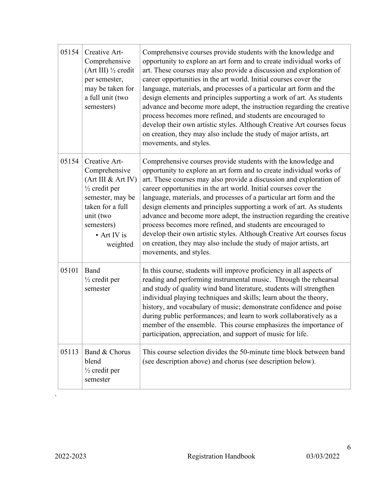| 05154 | Creative Art-<br>Comprehensive<br>(Art III) 1/2 credit<br>per semester,<br>may be taken for<br>a full unit (two<br>semesters)                                                  | Comprehensive courses provide students with the knowledge and<br>opportunity to explore an art form and to create individual works of<br>art. These courses may also provide a discussion and exploration of<br>career opportunities in the art world. Initial courses cover the<br>language, materials, and processes of a particular art form and the<br>design elements and principles supporting a work of art. As students<br>advance and become more adept, the instruction regarding the creative<br>process becomes more refined, and students are encouraged to<br>develop their own artistic styles. Although Creative Art courses focus<br>on creation, they may also include the study of major artists, art<br>movements, and styles. |
|-------|--------------------------------------------------------------------------------------------------------------------------------------------------------------------------------|----------------------------------------------------------------------------------------------------------------------------------------------------------------------------------------------------------------------------------------------------------------------------------------------------------------------------------------------------------------------------------------------------------------------------------------------------------------------------------------------------------------------------------------------------------------------------------------------------------------------------------------------------------------------------------------------------------------------------------------------------|
| 05154 | Creative Art-<br>Comprehensive<br>(Art III & Art IV)<br>$\frac{1}{2}$ credit per<br>semester, may be<br>taken for a full<br>unit (two<br>semesters)<br>• Art IV is<br>weighted | Comprehensive courses provide students with the knowledge and<br>opportunity to explore an art form and to create individual works of<br>art. These courses may also provide a discussion and exploration of<br>career opportunities in the art world. Initial courses cover the<br>language, materials, and processes of a particular art form and the<br>design elements and principles supporting a work of art. As students<br>advance and become more adept, the instruction regarding the creative<br>process becomes more refined, and students are encouraged to<br>develop their own artistic styles. Although Creative Art courses focus<br>on creation, they may also include the study of major artists, art<br>movements, and styles. |
| 05101 | Band<br>$\frac{1}{2}$ credit per<br>semester                                                                                                                                   | In this course, students will improve proficiency in all aspects of<br>reading and performing instrumental music. Through the rehearsal<br>and study of quality wind band literature, students will strengthen<br>individual playing techniques and skills; learn about the theory,<br>history, and vocabulary of music; demonstrate confidence and poise<br>during public performances; and learn to work collaboratively as a<br>member of the ensemble. This course emphasizes the importance of<br>participation, appreciation, and support of music for life.                                                                                                                                                                                 |
| 05113 | Band & Chorus<br>blend<br>$\frac{1}{2}$ credit per<br>semester                                                                                                                 | This course selection divides the 50-minute time block between band<br>(see description above) and chorus (see description below).                                                                                                                                                                                                                                                                                                                                                                                                                                                                                                                                                                                                                 |

.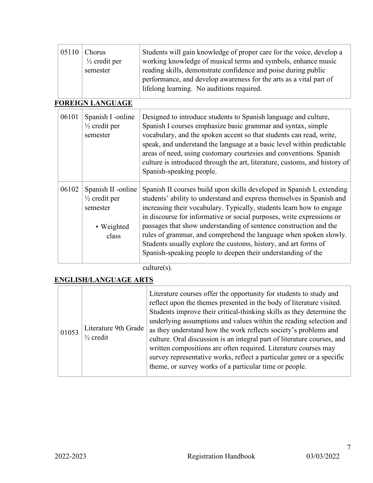| 05110 | Chorus<br>$\frac{1}{2}$ credit per<br>semester                                    | Students will gain knowledge of proper care for the voice, develop a<br>working knowledge of musical terms and symbols, enhance music<br>reading skills, demonstrate confidence and poise during public<br>performance, and develop awareness for the arts as a vital part of<br>lifelong learning. No auditions required.                                                                                                                                                                                                                                                                   |
|-------|-----------------------------------------------------------------------------------|----------------------------------------------------------------------------------------------------------------------------------------------------------------------------------------------------------------------------------------------------------------------------------------------------------------------------------------------------------------------------------------------------------------------------------------------------------------------------------------------------------------------------------------------------------------------------------------------|
|       | <b>FOREIGN LANGUAGE</b>                                                           |                                                                                                                                                                                                                                                                                                                                                                                                                                                                                                                                                                                              |
| 06101 | Spanish I -online<br>$\frac{1}{2}$ credit per<br>semester                         | Designed to introduce students to Spanish language and culture,<br>Spanish I courses emphasize basic grammar and syntax, simple<br>vocabulary, and the spoken accent so that students can read, write,<br>speak, and understand the language at a basic level within predictable<br>areas of need, using customary courtesies and conventions. Spanish<br>culture is introduced through the art, literature, customs, and history of<br>Spanish-speaking people.                                                                                                                             |
| 06102 | Spanish II -online<br>$\frac{1}{2}$ credit per<br>semester<br>• Weighted<br>class | Spanish II courses build upon skills developed in Spanish I, extending<br>students' ability to understand and express themselves in Spanish and<br>increasing their vocabulary. Typically, students learn how to engage<br>in discourse for informative or social purposes, write expressions or<br>passages that show understanding of sentence construction and the<br>rules of grammar, and comprehend the language when spoken slowly.<br>Students usually explore the customs, history, and art forms of<br>Spanish-speaking people to deepen their understanding of the<br>culture(s). |

## **ENGLISH/LANGUAGE ARTS**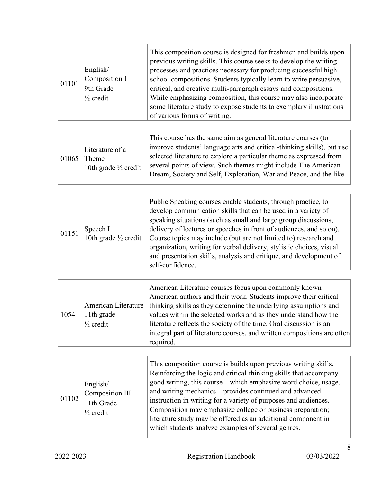| 01101 | English/<br>Composition I<br>9th Grade<br>$\frac{1}{2}$ credit | This composition course is designed for freshmen and builds upon<br>previous writing skills. This course seeks to develop the writing<br>processes and practices necessary for producing successful high<br>school compositions. Students typically learn to write persuasive,<br>critical, and creative multi-paragraph essays and compositions.<br>While emphasizing composition, this course may also incorporate<br>some literature study to expose students to exemplary illustrations |
|-------|----------------------------------------------------------------|---------------------------------------------------------------------------------------------------------------------------------------------------------------------------------------------------------------------------------------------------------------------------------------------------------------------------------------------------------------------------------------------------------------------------------------------------------------------------------------------|
|       |                                                                | of various forms of writing.                                                                                                                                                                                                                                                                                                                                                                                                                                                                |

| 01065 | Literature of a<br>Theme<br>10th grade $\frac{1}{2}$ credit | This course has the same aim as general literature courses (to<br>improve students' language arts and critical-thinking skills), but use<br>selected literature to explore a particular theme as expressed from<br>several points of view. Such themes might include The American<br>Dream, Society and Self, Exploration, War and Peace, and the like. |
|-------|-------------------------------------------------------------|---------------------------------------------------------------------------------------------------------------------------------------------------------------------------------------------------------------------------------------------------------------------------------------------------------------------------------------------------------|
|-------|-------------------------------------------------------------|---------------------------------------------------------------------------------------------------------------------------------------------------------------------------------------------------------------------------------------------------------------------------------------------------------------------------------------------------------|

| 01151 | Speech I<br>10th grade $\frac{1}{2}$ credit | Public Speaking courses enable students, through practice, to<br>develop communication skills that can be used in a variety of<br>speaking situations (such as small and large group discussions,<br>delivery of lectures or speeches in front of audiences, and so on).<br>Course topics may include (but are not limited to) research and<br>organization, writing for verbal delivery, stylistic choices, visual<br>and presentation skills, analysis and critique, and development of<br>self-confidence. |
|-------|---------------------------------------------|---------------------------------------------------------------------------------------------------------------------------------------------------------------------------------------------------------------------------------------------------------------------------------------------------------------------------------------------------------------------------------------------------------------------------------------------------------------------------------------------------------------|
|-------|---------------------------------------------|---------------------------------------------------------------------------------------------------------------------------------------------------------------------------------------------------------------------------------------------------------------------------------------------------------------------------------------------------------------------------------------------------------------------------------------------------------------------------------------------------------------|

|      |                      | American Literature courses focus upon commonly known<br>American authors and their work. Students improve their critical |
|------|----------------------|---------------------------------------------------------------------------------------------------------------------------|
|      | American Literature  | thinking skills as they determine the underlying assumptions and                                                          |
| 1054 | 11th grade           | values within the selected works and as they understand how the                                                           |
|      | $\frac{1}{2}$ credit | literature reflects the society of the time. Oral discussion is an                                                        |
|      |                      | integral part of literature courses, and written compositions are often                                                   |
|      |                      | required.                                                                                                                 |

| 01102 | English/<br>Composition III<br>11th Grade<br>$\frac{1}{2}$ credit | This composition course is builds upon previous writing skills.<br>Reinforcing the logic and critical-thinking skills that accompany<br>good writing, this course—which emphasize word choice, usage,<br>and writing mechanics—provides continued and advanced<br>instruction in writing for a variety of purposes and audiences.<br>Composition may emphasize college or business preparation;<br>literature study may be offered as an additional component in<br>which students analyze examples of several genres. |
|-------|-------------------------------------------------------------------|------------------------------------------------------------------------------------------------------------------------------------------------------------------------------------------------------------------------------------------------------------------------------------------------------------------------------------------------------------------------------------------------------------------------------------------------------------------------------------------------------------------------|
|-------|-------------------------------------------------------------------|------------------------------------------------------------------------------------------------------------------------------------------------------------------------------------------------------------------------------------------------------------------------------------------------------------------------------------------------------------------------------------------------------------------------------------------------------------------------------------------------------------------------|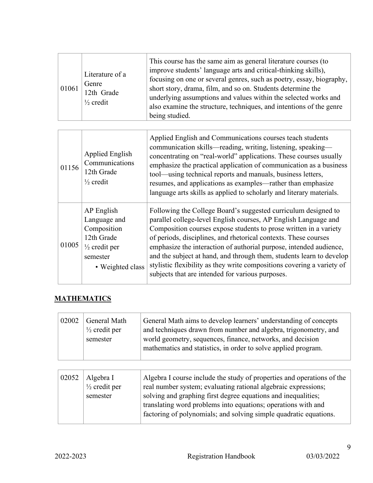| 01061 | Literature of a<br>Genre<br>12th Grade<br>$\frac{1}{2}$ credit | This course has the same aim as general literature courses (to<br>improve students' language arts and critical-thinking skills),<br>focusing on one or several genres, such as poetry, essay, biography,<br>short story, drama, film, and so on. Students determine the<br>underlying assumptions and values within the selected works and<br>also examine the structure, techniques, and intentions of the genre<br>being studied. |
|-------|----------------------------------------------------------------|-------------------------------------------------------------------------------------------------------------------------------------------------------------------------------------------------------------------------------------------------------------------------------------------------------------------------------------------------------------------------------------------------------------------------------------|

| 01156 | Applied English<br>Communications<br>12th Grade<br>$\frac{1}{2}$ credit                                             | Applied English and Communications courses teach students<br>communication skills—reading, writing, listening, speaking—<br>concentrating on "real-world" applications. These courses usually<br>emphasize the practical application of communication as a business<br>tool—using technical reports and manuals, business letters,<br>resumes, and applications as examples—rather than emphasize<br>language arts skills as applied to scholarly and literary materials.                                                                             |
|-------|---------------------------------------------------------------------------------------------------------------------|-------------------------------------------------------------------------------------------------------------------------------------------------------------------------------------------------------------------------------------------------------------------------------------------------------------------------------------------------------------------------------------------------------------------------------------------------------------------------------------------------------------------------------------------------------|
| 01005 | AP English<br>Language and<br>Composition<br>12th Grade<br>$\frac{1}{2}$ credit per<br>semester<br>• Weighted class | Following the College Board's suggested curriculum designed to<br>parallel college-level English courses, AP English Language and<br>Composition courses expose students to prose written in a variety<br>of periods, disciplines, and rhetorical contexts. These courses<br>emphasize the interaction of authorial purpose, intended audience,<br>and the subject at hand, and through them, students learn to develop<br>stylistic flexibility as they write compositions covering a variety of<br>subjects that are intended for various purposes. |

## **MATHEMATICS**

| <b>General Math</b><br>02002<br>$\frac{1}{2}$ credit per | General Math aims to develop learners' understanding of concepts<br>and techniques drawn from number and algebra, trigonometry, and |
|----------------------------------------------------------|-------------------------------------------------------------------------------------------------------------------------------------|
| semester                                                 | world geometry, sequences, finance, networks, and decision<br>mathematics and statistics, in order to solve applied program.        |

| 02052 | Algebra I<br>$\frac{1}{2}$ credit per<br>semester | Algebra I course include the study of properties and operations of the<br>real number system; evaluating rational algebraic expressions;<br>solving and graphing first degree equations and inequalities;<br>translating word problems into equations; operations with and<br>factoring of polynomials; and solving simple quadratic equations. |
|-------|---------------------------------------------------|-------------------------------------------------------------------------------------------------------------------------------------------------------------------------------------------------------------------------------------------------------------------------------------------------------------------------------------------------|
|-------|---------------------------------------------------|-------------------------------------------------------------------------------------------------------------------------------------------------------------------------------------------------------------------------------------------------------------------------------------------------------------------------------------------------|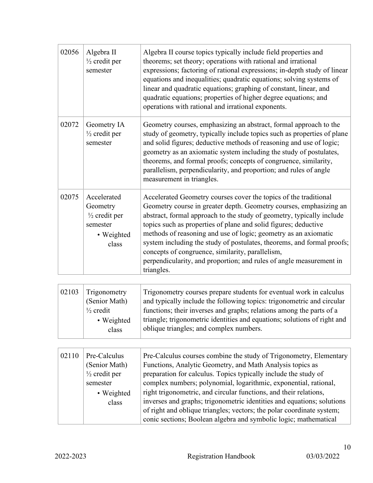| 02056 | Algebra II<br>$\frac{1}{2}$ credit per<br>semester                                           | Algebra II course topics typically include field properties and<br>theorems; set theory; operations with rational and irrational<br>expressions; factoring of rational expressions; in-depth study of linear<br>equations and inequalities; quadratic equations; solving systems of<br>linear and quadratic equations; graphing of constant, linear, and                                                                                                                                                                                                                 |
|-------|----------------------------------------------------------------------------------------------|--------------------------------------------------------------------------------------------------------------------------------------------------------------------------------------------------------------------------------------------------------------------------------------------------------------------------------------------------------------------------------------------------------------------------------------------------------------------------------------------------------------------------------------------------------------------------|
|       |                                                                                              | quadratic equations; properties of higher degree equations; and<br>operations with rational and irrational exponents.                                                                                                                                                                                                                                                                                                                                                                                                                                                    |
| 02072 | Geometry IA<br>$\frac{1}{2}$ credit per<br>semester                                          | Geometry courses, emphasizing an abstract, formal approach to the<br>study of geometry, typically include topics such as properties of plane<br>and solid figures; deductive methods of reasoning and use of logic;<br>geometry as an axiomatic system including the study of postulates,<br>theorems, and formal proofs; concepts of congruence, similarity,<br>parallelism, perpendicularity, and proportion; and rules of angle<br>measurement in triangles.                                                                                                          |
| 02075 | Accelerated<br>Geometry<br>$\frac{1}{2}$ credit per<br>semester<br>• Weighted<br>class       | Accelerated Geometry courses cover the topics of the traditional<br>Geometry course in greater depth. Geometry courses, emphasizing an<br>abstract, formal approach to the study of geometry, typically include<br>topics such as properties of plane and solid figures; deductive<br>methods of reasoning and use of logic; geometry as an axiomatic<br>system including the study of postulates, theorems, and formal proofs;<br>concepts of congruence, similarity, parallelism,<br>perpendicularity, and proportion; and rules of angle measurement in<br>triangles. |
| 02103 | Trigonometry<br>(Senior Math)<br>$\frac{1}{2}$ credit<br>• Weighted<br>class                 | Trigonometry courses prepare students for eventual work in calculus<br>and typically include the following topics: trigonometric and circular<br>functions; their inverses and graphs; relations among the parts of a<br>triangle; trigonometric identities and equations; solutions of right and<br>oblique triangles; and complex numbers.                                                                                                                                                                                                                             |
|       |                                                                                              |                                                                                                                                                                                                                                                                                                                                                                                                                                                                                                                                                                          |
| 02110 | Pre-Calculus<br>(Senior Math)<br>$\frac{1}{2}$ credit per<br>semester<br>• Weighted<br>class | Pre-Calculus courses combine the study of Trigonometry, Elementary<br>Functions, Analytic Geometry, and Math Analysis topics as<br>preparation for calculus. Topics typically include the study of<br>complex numbers; polynomial, logarithmic, exponential, rational,<br>right trigonometric, and circular functions, and their relations,<br>inverses and graphs; trigonometric identities and equations; solutions<br>of right and oblique triangles; vectors; the polar coordinate system;<br>conic sections; Boolean algebra and symbolic logic; mathematical       |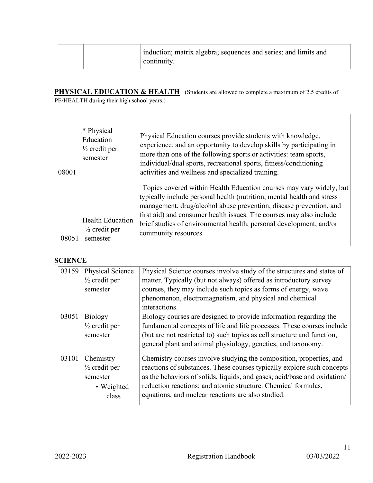| induction; matrix algebra; sequences and series; and limits and<br>$\overline{\phantom{a}}$ continuity. |  |
|---------------------------------------------------------------------------------------------------------|--|
|---------------------------------------------------------------------------------------------------------|--|

**PHYSICAL EDUCATION & HEALTH** (Students are allowed to complete a maximum of 2.5 credits of PE/HEALTH during their high school years.)

| 08001 | * Physical<br>Education<br>$\frac{1}{2}$ credit per<br>semester | Physical Education courses provide students with knowledge,<br>experience, and an opportunity to develop skills by participating in<br>more than one of the following sports or activities: team sports,<br>individual/dual sports, recreational sports, fitness/conditioning<br>activities and wellness and specialized training.                                                        |
|-------|-----------------------------------------------------------------|-------------------------------------------------------------------------------------------------------------------------------------------------------------------------------------------------------------------------------------------------------------------------------------------------------------------------------------------------------------------------------------------|
| 08051 | <b>Health Education</b><br>$\frac{1}{2}$ credit per<br>semester | Topics covered within Health Education courses may vary widely, but<br>typically include personal health (nutrition, mental health and stress<br>management, drug/alcohol abuse prevention, disease prevention, and<br>first aid) and consumer health issues. The courses may also include<br>brief studies of environmental health, personal development, and/or<br>community resources. |

### **SCIENCE**

| 03159 | Physical Science         | Physical Science courses involve study of the structures and states of   |
|-------|--------------------------|--------------------------------------------------------------------------|
|       | $\frac{1}{2}$ credit per | matter. Typically (but not always) offered as introductory survey        |
|       | semester                 | courses, they may include such topics as forms of energy, wave           |
|       |                          | phenomenon, electromagnetism, and physical and chemical                  |
|       |                          | interactions.                                                            |
| 03051 | <b>Biology</b>           | Biology courses are designed to provide information regarding the        |
|       | $\frac{1}{2}$ credit per | fundamental concepts of life and life processes. These courses include   |
|       | semester                 | (but are not restricted to) such topics as cell structure and function,  |
|       |                          | general plant and animal physiology, genetics, and taxonomy.             |
| 03101 | Chemistry                | Chemistry courses involve studying the composition, properties, and      |
|       | $\frac{1}{2}$ credit per | reactions of substances. These courses typically explore such concepts   |
|       | semester                 | as the behaviors of solids, liquids, and gases; acid/base and oxidation/ |
|       | • Weighted               | reduction reactions; and atomic structure. Chemical formulas,            |
|       | class                    | equations, and nuclear reactions are also studied.                       |
|       |                          |                                                                          |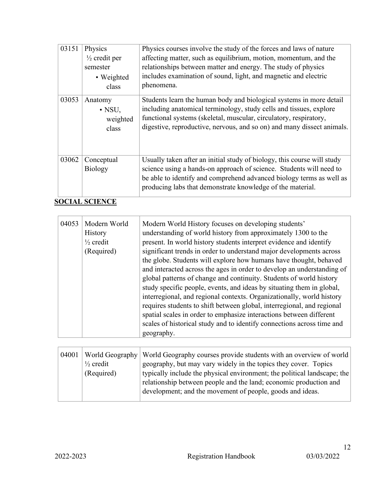| 03151 | Physics<br>$\frac{1}{2}$ credit per<br>semester<br>• Weighted<br>class | Physics courses involve the study of the forces and laws of nature<br>affecting matter, such as equilibrium, motion, momentum, and the<br>relationships between matter and energy. The study of physics<br>includes examination of sound, light, and magnetic and electric<br>phenomena. |
|-------|------------------------------------------------------------------------|------------------------------------------------------------------------------------------------------------------------------------------------------------------------------------------------------------------------------------------------------------------------------------------|
| 03053 | Anatomy<br>$\cdot$ NSU.<br>weighted<br>class                           | Students learn the human body and biological systems in more detail<br>including anatomical terminology, study cells and tissues, explore<br>functional systems (skeletal, muscular, circulatory, respiratory,<br>digestive, reproductive, nervous, and so on) and many dissect animals. |
| 03062 | Conceptual<br><b>Biology</b>                                           | Usually taken after an initial study of biology, this course will study<br>science using a hands-on approach of science. Students will need to<br>be able to identify and comprehend advanced biology terms as well as<br>producing labs that demonstrate knowledge of the material.     |

**SOCIAL SCIENCE**

| 04053 | Modern World<br>History<br>$\frac{1}{2}$ credit<br>(Required) | Modern World History focuses on developing students'<br>understanding of world history from approximately 1300 to the<br>present. In world history students interpret evidence and identify<br>significant trends in order to understand major developments across<br>the globe. Students will explore how humans have thought, behaved<br>and interacted across the ages in order to develop an understanding of<br>global patterns of change and continuity. Students of world history<br>study specific people, events, and ideas by situating them in global,<br>interregional, and regional contexts. Organizationally, world history<br>requires students to shift between global, interregional, and regional<br>spatial scales in order to emphasize interactions between different<br>scales of historical study and to identify connections across time and<br>geography. |
|-------|---------------------------------------------------------------|-------------------------------------------------------------------------------------------------------------------------------------------------------------------------------------------------------------------------------------------------------------------------------------------------------------------------------------------------------------------------------------------------------------------------------------------------------------------------------------------------------------------------------------------------------------------------------------------------------------------------------------------------------------------------------------------------------------------------------------------------------------------------------------------------------------------------------------------------------------------------------------|
|-------|---------------------------------------------------------------|-------------------------------------------------------------------------------------------------------------------------------------------------------------------------------------------------------------------------------------------------------------------------------------------------------------------------------------------------------------------------------------------------------------------------------------------------------------------------------------------------------------------------------------------------------------------------------------------------------------------------------------------------------------------------------------------------------------------------------------------------------------------------------------------------------------------------------------------------------------------------------------|

| $\frac{1}{2}$ credit<br>(Required) | 04001   World Geography   World Geography courses provide students with an overview of world<br>geography, but may vary widely in the topics they cover. Topics<br>typically include the physical environment; the political landscape; the<br>relationship between people and the land; economic production and<br>development; and the movement of people, goods and ideas. |
|------------------------------------|-------------------------------------------------------------------------------------------------------------------------------------------------------------------------------------------------------------------------------------------------------------------------------------------------------------------------------------------------------------------------------|
|                                    |                                                                                                                                                                                                                                                                                                                                                                               |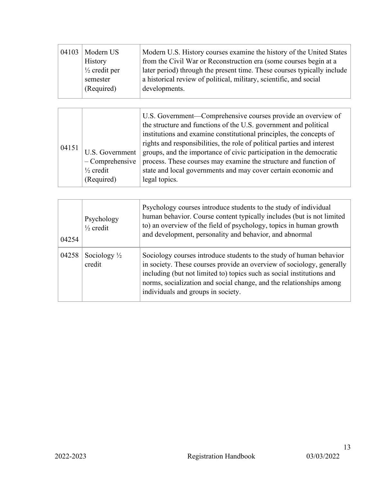| 04103 | Modern US                | Modern U.S. History courses examine the history of the United States    |
|-------|--------------------------|-------------------------------------------------------------------------|
|       | <b>History</b>           | from the Civil War or Reconstruction era (some courses begin at a       |
|       | $\frac{1}{2}$ credit per | later period) through the present time. These courses typically include |
|       | semester                 | a historical review of political, military, scientific, and social      |
|       | (Required)               | developments.                                                           |
|       |                          |                                                                         |

| 04254 | Psychology<br>$\frac{1}{2}$ credit | Psychology courses introduce students to the study of individual<br>human behavior. Course content typically includes (but is not limited<br>to) an overview of the field of psychology, topics in human growth<br>and development, personality and behavior, and abnormal                                                         |
|-------|------------------------------------|------------------------------------------------------------------------------------------------------------------------------------------------------------------------------------------------------------------------------------------------------------------------------------------------------------------------------------|
| 04258 | Sociology $\frac{1}{2}$<br>credit  | Sociology courses introduce students to the study of human behavior<br>in society. These courses provide an overview of sociology, generally<br>including (but not limited to) topics such as social institutions and<br>norms, socialization and social change, and the relationships among<br>individuals and groups in society. |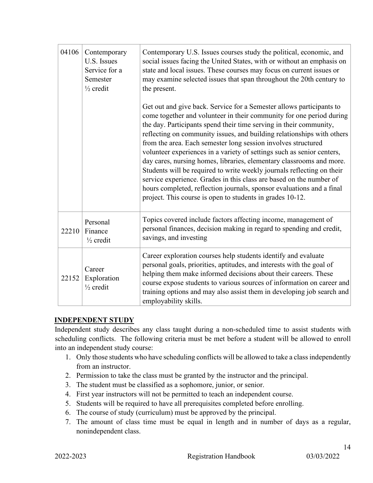| 04106 | Contemporary<br>U.S. Issues<br>Service for a<br>Semester<br>$\frac{1}{2}$ credit | Contemporary U.S. Issues courses study the political, economic, and<br>social issues facing the United States, with or without an emphasis on<br>state and local issues. These courses may focus on current issues or<br>may examine selected issues that span throughout the 20th century to<br>the present.                                                                                                                                                                                                                                                                                                                                                                                                                                                                                          |
|-------|----------------------------------------------------------------------------------|--------------------------------------------------------------------------------------------------------------------------------------------------------------------------------------------------------------------------------------------------------------------------------------------------------------------------------------------------------------------------------------------------------------------------------------------------------------------------------------------------------------------------------------------------------------------------------------------------------------------------------------------------------------------------------------------------------------------------------------------------------------------------------------------------------|
|       |                                                                                  | Get out and give back. Service for a Semester allows participants to<br>come together and volunteer in their community for one period during<br>the day. Participants spend their time serving in their community,<br>reflecting on community issues, and building relationships with others<br>from the area. Each semester long session involves structured<br>volunteer experiences in a variety of settings such as senior centers,<br>day cares, nursing homes, libraries, elementary classrooms and more.<br>Students will be required to write weekly journals reflecting on their<br>service experience. Grades in this class are based on the number of<br>hours completed, reflection journals, sponsor evaluations and a final<br>project. This course is open to students in grades 10-12. |
| 22210 | Personal<br>Finance<br>$\frac{1}{2}$ credit                                      | Topics covered include factors affecting income, management of<br>personal finances, decision making in regard to spending and credit,<br>savings, and investing                                                                                                                                                                                                                                                                                                                                                                                                                                                                                                                                                                                                                                       |
| 22152 | Career<br>Exploration<br>$\frac{1}{2}$ credit                                    | Career exploration courses help students identify and evaluate<br>personal goals, priorities, aptitudes, and interests with the goal of<br>helping them make informed decisions about their careers. These<br>course expose students to various sources of information on career and<br>training options and may also assist them in developing job search and<br>employability skills.                                                                                                                                                                                                                                                                                                                                                                                                                |

## **INDEPENDENT STUDY**

Independent study describes any class taught during a non-scheduled time to assist students with scheduling conflicts. The following criteria must be met before a student will be allowed to enroll into an independent study course:

- 1. Only those students who have scheduling conflicts will be allowed to take a class independently from an instructor.
- 2. Permission to take the class must be granted by the instructor and the principal.
- 3. The student must be classified as a sophomore, junior, or senior.
- 4. First year instructors will not be permitted to teach an independent course.
- 5. Students will be required to have all prerequisites completed before enrolling.
- 6. The course of study (curriculum) must be approved by the principal.
- 7. The amount of class time must be equal in length and in number of days as a regular, nonindependent class.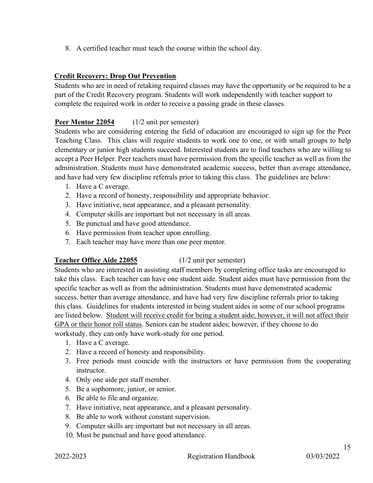8. A certified teacher must teach the course within the school day.

### **Credit Recovery: Drop Out Prevention**

Students who are in need of retaking required classes may have the opportunity or be required to be a part of the Credit Recovery program. Students will work independently with teacher support to complete the required work in order to receive a passing grade in these classes.

## **Peer Mentor 22054** (1/2 unit per semester)

Students who are considering entering the field of education are encouraged to sign up for the Peer Teaching Class. This class will require students to work one to one, or with small groups to help elementary or junior high students succeed. Interested students are to find teachers who are willing to accept a Peer Helper. Peer teachers must have permission from the specific teacher as well as from the administration. Students must have demonstrated academic success, better than average attendance, and have had very few discipline referrals prior to taking this class. The guidelines are below:

- 1. Have a C average.
- 2. Have a record of honesty, responsibility and appropriate behavior.
- 3. Have initiative, neat appearance, and a pleasant personality.
- 4. Computer skills are important but not necessary in all areas.
- 5. Be punctual and have good attendance.
- 6. Have permission from teacher upon enrolling.
- 7. Each teacher may have more than one peer mentor.

#### **Teacher Office Aide 22055** (1/2 unit per semester)

Students who are interested in assisting staff members by completing office tasks are encouraged to take this class. Each teacher can have one student aide. Student aides must have permission from the specific teacher as well as from the administration. Students must have demonstrated academic success, better than average attendance, and have had very few discipline referrals prior to taking this class. Guidelines for students interested in being student aides in some of our school programs are listed below. Student will receive credit for being a student aide; however, it will not affect their GPA or their honor roll status. Seniors can be student aides; however, if they choose to do workstudy, they can only have work-study for one period.

- 1. Have a C average.
- 2. Have a record of honesty and responsibility.
- 3. Free periods must coincide with the instructors or have permission from the cooperating instructor.
- 4. Only one aide per staff member.
- 5. Be a sophomore, junior, or senior.
- 6. Be able to file and organize.
- 7. Have initiative, neat appearance, and a pleasant personality.
- 8. Be able to work without constant supervision.
- 9. Computer skills are important but not necessary in all areas.
- 10. Must be punctual and have good attendance.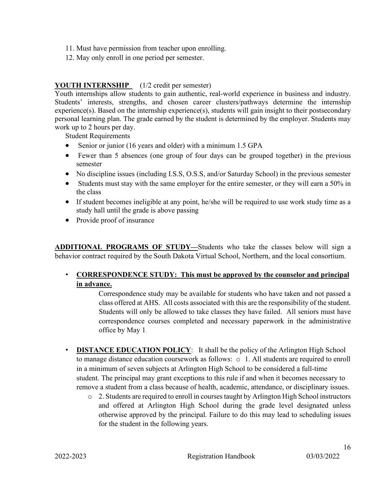- 11. Must have permission from teacher upon enrolling.
- 12. May only enroll in one period per semester.

### **YOUTH INTERNSHIP** (1/2 credit per semester)

Youth internships allow students to gain authentic, real-world experience in business and industry. Students' interests, strengths, and chosen career clusters/pathways determine the internship experience(s). Based on the internship experience(s), students will gain insight to their postsecondary personal learning plan. The grade earned by the student is determined by the employer. Students may work up to 2 hours per day.

Student Requirements

- Senior or junior (16 years and older) with a minimum 1.5 GPA
- Fewer than 5 absences (one group of four days can be grouped together) in the previous semester
- No discipline issues (including I.S.S, O.S.S, and/or Saturday School) in the previous semester
- Students must stay with the same employer for the entire semester, or they will earn a 50% in the class
- If student becomes ineligible at any point, he/she will be required to use work study time as a study hall until the grade is above passing
- Provide proof of insurance

**ADDITIONAL PROGRAMS OF STUDY—**Students who take the classes below will sign a behavior contract required by the South Dakota Virtual School, Northern, and the local consortium.

## • **CORRESPONDENCE STUDY: This must be approved by the counselor and principal in advance.**

Correspondence study may be available for students who have taken and not passed a class offered at AHS. All costs associated with this are the responsibility of the student. Students will only be allowed to take classes they have failed. All seniors must have correspondence courses completed and necessary paperwork in the administrative office by May 1.

- **DISTANCE EDUCATION POLICY**: It shall be the policy of the Arlington High School to manage distance education coursework as follows: o 1. All students are required to enroll in a minimum of seven subjects at Arlington High School to be considered a full-time student. The principal may grant exceptions to this rule if and when it becomes necessary to remove a student from a class because of health, academic, attendance, or disciplinary issues.
	- o 2. Students are required to enroll in courses taught by Arlington High School instructors and offered at Arlington High School during the grade level designated unless otherwise approved by the principal. Failure to do this may lead to scheduling issues for the student in the following years.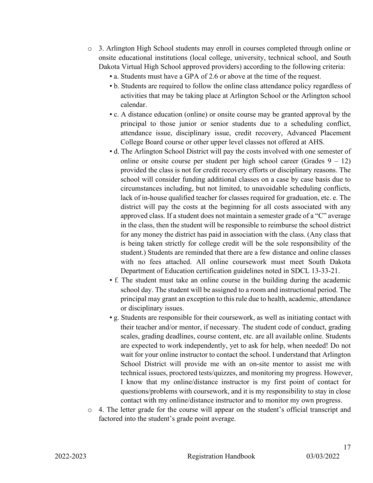- o 3. Arlington High School students may enroll in courses completed through online or onsite educational institutions (local college, university, technical school, and South Dakota Virtual High School approved providers) according to the following criteria:
	- a. Students must have a GPA of 2.6 or above at the time of the request.
	- b. Students are required to follow the online class attendance policy regardless of activities that may be taking place at Arlington School or the Arlington school calendar.
	- c. A distance education (online) or onsite course may be granted approval by the principal to those junior or senior students due to a scheduling conflict, attendance issue, disciplinary issue, credit recovery, Advanced Placement College Board course or other upper level classes not offered at AHS.
	- d. The Arlington School District will pay the costs involved with one semester of online or onsite course per student per high school career (Grades  $9 - 12$ ) provided the class is not for credit recovery efforts or disciplinary reasons. The school will consider funding additional classes on a case by case basis due to circumstances including, but not limited, to unavoidable scheduling conflicts, lack of in-house qualified teacher for classes required for graduation, etc. e. The district will pay the costs at the beginning for all costs associated with any approved class. If a student does not maintain a semester grade of a "C" average in the class, then the student will be responsible to reimburse the school district for any money the district has paid in association with the class. (Any class that is being taken strictly for college credit will be the sole responsibility of the student.) Students are reminded that there are a few distance and online classes with no fees attached. All online coursework must meet South Dakota Department of Education certification guidelines noted in SDCL 13-33-21.
	- f. The student must take an online course in the building during the academic school day. The student will be assigned to a room and instructional period. The principal may grant an exception to this rule due to health, academic, attendance or disciplinary issues.
	- g. Students are responsible for their coursework, as well as initiating contact with their teacher and/or mentor, if necessary. The student code of conduct, grading scales, grading deadlines, course content, etc. are all available online. Students are expected to work independently, yet to ask for help, when needed! Do not wait for your online instructor to contact the school. I understand that Arlington School District will provide me with an on-site mentor to assist me with technical issues, proctored tests/quizzes, and monitoring my progress. However, I know that my online/distance instructor is my first point of contact for questions/problems with coursework, and it is my responsibility to stay in close contact with my online/distance instructor and to monitor my own progress.
- $\circ$  4. The letter grade for the course will appear on the student's official transcript and factored into the student's grade point average.